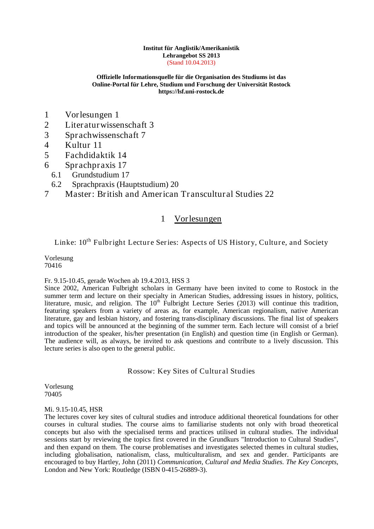#### **Institut für Anglistik/Amerikanistik Lehrangebot SS 2013** (Stand 10.04.2013)

### **Offizielle Informationsquelle für die Organisation des Studiums ist das Online-Portal für Lehre, Studium und Forschung der Universität Rostock https://lsf.uni-rostock.de**

- 1 [Vorlesungen](#page-0-0) 1
- 2 [Literaturwissenschaft](#page-2-0) 3
- 3 [Sprachwissenschaft](#page-6-0) 7
- 4 [Kultur](#page-10-0) 11
- 5 [Fachdidaktik](#page-13-0) 14
- 6 [Sprachpraxis](#page-16-0) 17
	- 6.1 [Grundstudium](#page-16-1) 17
	- 6.2 [Sprachpraxis \(Hauptstudium\)](#page-19-0) 20

# <span id="page-0-0"></span>7 [Master: British and American Transcultural Studies](#page-21-0) 22

# 1 Vorlesungen

Linke:  $10^{th}$  Fulbright Lecture Series: Aspects of US History, Culture, and Society

Vorlesung 70416

# Fr. 9.15-10.45, gerade Wochen ab 19.4.2013, HSS 3

Since 2002, American Fulbright scholars in Germany have been invited to come to Rostock in the summer term and lecture on their specialty in American Studies, addressing issues in history, politics, literature, music, and religion. The  $10<sup>th</sup>$  Fulbright Lecture Series (2013) will continue this tradition, featuring speakers from a variety of areas as, for example, American regionalism, native American literature, gay and lesbian history, and fostering trans-disciplinary discussions. The final list of speakers and topics will be announced at the beginning of the summer term. Each lecture will consist of a brief introduction of the speaker, his/her presentation (in English) and question time (in English or German). The audience will, as always, be invited to ask questions and contribute to a lively discussion. This lecture series is also open to the general public.

# Rossow: Key Sites of Cultural Studies

Vorlesung 70405

### Mi. 9.15-10.45, HSR

The lectures cover key sites of cultural studies and introduce additional theoretical foundations for other courses in cultural studies. The course aims to familiarise students not only with broad theoretical concepts but also with the specialised terms and practices utilised in cultural studies. The individual sessions start by reviewing the topics first covered in the Grundkurs "Introduction to Cultural Studies", and then expand on them. The course problematises and investigates selected themes in cultural studies, including globalisation, nationalism, class, multiculturalism, and sex and gender. Participants are encouraged to buy Hartley, John (2011) *Communication, Cultural and Media Studies. The Key Concepts*, London and New York: Routledge (ISBN 0-415-26889-3).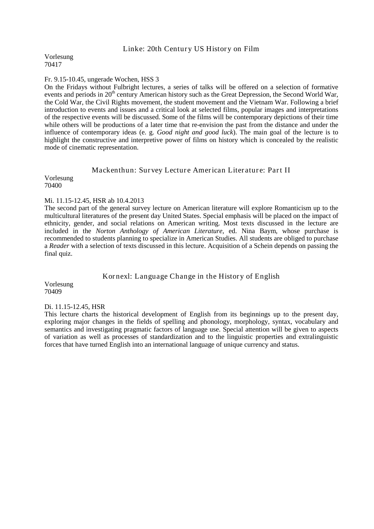# Linke: 20th Century US History on Film

Vorlesung 70417

### Fr. 9.15-10.45, ungerade Wochen, HSS 3

On the Fridays without Fulbright lectures, a series of talks will be offered on a selection of formative events and periods in 20<sup>th</sup> century American history such as the Great Depression, the Second World War, the Cold War, the Civil Rights movement, the student movement and the Vietnam War. Following a brief introduction to events and issues and a critical look at selected films, popular images and interpretations of the respective events will be discussed. Some of the films will be contemporary depictions of their time while others will be productions of a later time that re-envision the past from the distance and under the influence of contemporary ideas (e. g. *Good night and good luck*). The main goal of the lecture is to highlight the constructive and interpretive power of films on history which is concealed by the realistic mode of cinematic representation.

### Mackenthun: Survey Lecture American Literature: Part II

Vorlesung 70400

### Mi. 11.15-12.45, HSR ab 10.4.2013

The second part of the general survey lecture on American literature will explore Romanticism up to the multicultural literatures of the present day United States. Special emphasis will be placed on the impact of ethnicity, gender, and social relations on American writing. Most texts discussed in the lecture are included in the *Norton Anthology of American Literature*, ed. Nina Baym, whose purchase is recommended to students planning to specialize in American Studies. All students are obliged to purchase a *Reader* with a selection of texts discussed in this lecture. Acquisition of a Schein depends on passing the final quiz.

# Kornexl: Language Change in the History of English

Vorlesung 70409

### Di. 11.15-12.45, HSR

This lecture charts the historical development of English from its beginnings up to the present day, exploring major changes in the fields of spelling and phonology, morphology, syntax, vocabulary and semantics and investigating pragmatic factors of language use. Special attention will be given to aspects of variation as well as processes of standardization and to the linguistic properties and extralinguistic forces that have turned English into an international language of unique currency and status.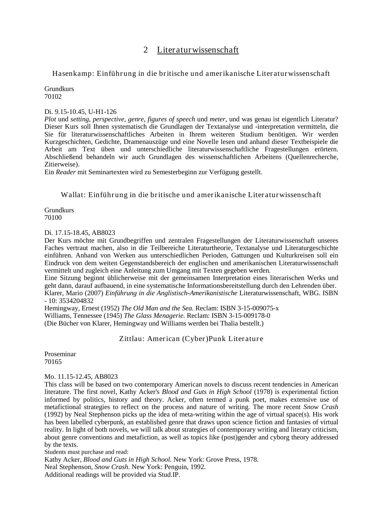# 2 Literaturwissenschaft

# <span id="page-2-0"></span>Hasenkamp: Einführung in die britische und amerikanische Literaturwissenschaft

Grundkurs 70102

### Di. 9.15-10.45, U-H1-126

*Plot* und *setting*, *perspective*, *genre*, *figures of speech* und *meter*, und was genau ist eigentlich Literatur? Dieser Kurs soll Ihnen systematisch die Grundlagen der Textanalyse und -interpretation vermitteln, die Sie für literaturwissenschaftliches Arbeiten in Ihrem weiteren Studium benötigen. Wir werden Kurzgeschichten, Gedichte, Dramenauszüge und eine Novelle lesen und anhand dieser Textbeispiele die Arbeit am Text üben und unterschiedliche literaturwissenschaftliche Fragestellungen erörtern. Abschließend behandeln wir auch Grundlagen des wissenschaftlichen Arbeitens (Quellenrecherche, Zitierweise).

Ein *Reader* mit Seminartexten wird zu Semesterbeginn zur Verfügung gestellt.

Wallat: Einführung in die britische und amerikanische Literaturwissenschaft

Grundkurs 70100

Di. 17.15-18.45, AB8023

Der Kurs möchte mit Grundbegriffen und zentralen Fragestellungen der Literaturwissenschaft unseres Faches vertraut machen, also in die Teilbereiche Literaturtheorie, Textanalyse und Literaturgeschichte einführen. Anhand von Werken aus unterschiedlichen Perioden, Gattungen und Kulturkreisen soll ein Eindruck von dem weiten Gegenstandsbereich der englischen und amerikanischen Literaturwissenschaft vermittelt und zugleich eine Anleitung zum Umgang mit Texten gegeben werden.

Eine Sitzung beginnt üblicherweise mit der gemeinsamen Interpretation eines literarischen Werks und geht dann, darauf aufbauend, in eine systematische Informationsbereitstellung durch den Lehrenden über. Klarer, Mario (2007) *Einführung in die Anglistisch-Amerikanistische* Literaturwissenschaft, WBG. ISBN - 10: 3534204832

Hemingway, Ernest (1952) *The Old Man and the Sea.* Reclam: ISBN 3-15-009075-x Williams, Tennessee (1945) *The Glass Menagerie.* Reclam: ISBN 3-15-009178-0 (Die Bücher von Klarer, Hemingway und Williams werden bei Thalia bestellt.)

Zittlau: American (Cyber)Punk Literature

Proseminar 70165

# Mo. 11.15-12.45, AB8023

This class will be based on two contemporary American novels to discuss recent tendencies in American literature. The first novel, Kathy Acker's *Blood and Guts in High School* (1978) is experimental fiction informed by politics, history and theory. Acker, often termed a punk poet, makes extensive use of metafictional strategies to reflect on the process and nature of writing. The more recent *Snow Crash* (1992) by Neal Stephenson picks up the idea of meta-writing within the age of virtual space(s). His work has been labelled cyberpunk, an established genre that draws upon science fiction and fantasies of virtual reality. In light of both novels, we will talk about strategies of contemporary writing and literary criticism, about genre conventions and metafiction, as well as topics like (post)gender and cyborg theory addressed by the texts.

Students must purchase and read: Kathy Acker, *Blood and Guts in High School.* New York: Grove Press, 1978. Neal Stephenson, *Snow Crash*. New York: Penguin, 1992.

Additional readings will be provided via Stud.IP.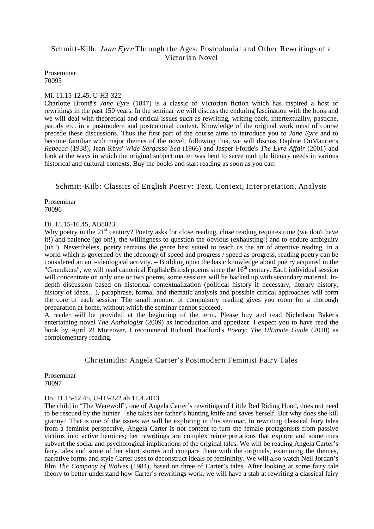# Schmitt-Kilb: *Jane Eyre* Through the Ages: Postcolonial and Other Rewritings of a Victorian Novel

Proseminar 70095

#### Mi. 11.15-12.45, U-H3-322

[Charlotte Brontë's](http://en.wikipedia.org/wiki/Charlotte_Bront%C3%AB) *Jane Eyre* (1847) is a classic of Victorian fiction which has inspired a host of rewritings in the past 150 years. In the seminar we will discuss the enduring fascination with the book and we will deal with theoretical and critical issues such as rewriting, writing back, intertextuality, pastiche, parody etc. in a postmodern and postcolonial context. Knowledge of the original work must of course precede these discussions. Thus the first part of the course aims to introduce you to *Jane Eyre* and to become familiar with major themes of the novel; following this, we will discuss Daphne DuMaurier's *Rebecca* (1938), Jean Rhys' *Wide Sargasso Sea* (1966) and Jasper Fforde's *The Eyre Affair* (2001) and look at the ways in which the original subject matter was bent to serve multiple literary needs in various historical and cultural contexts. Buy the books and start reading as soon as you can!

Schmitt-Kilb: Classics of English Poetry: Text, Context, Interpretation, Analysis

Proseminar 70096

### Di. 15.15-16.45, AB8023

Why poetry in the  $21<sup>st</sup>$  century? Poetry asks for close reading, close reading requires time (we don't have it!) and patience (go on!), the willingness to question the obvious (exhausting!) and to endure ambiguity (uh?). Nevertheless, poetry remains the genre best suited to teach us the art of attentive reading. In a world which is governed by the ideology of speed and progress / speed as progress, reading poetry can be considered an anti-ideological activity. – Building upon the basic knowledge about poetry acquired in the "Grundkurs", we will read canonical English/British poems since the 16<sup>th</sup> century. Each individual session will concentrate on only one or two poems, some sessions will be backed up with secondary material. Indepth discussion based on historical contextualization (political history if necessary, literary history, history of ideas...), paraphrase, formal and thematic analysis and possible critical approaches will form the core of each session. The small amount of compulsory reading gives you room for a thorough preparation at home, without which the seminar cannot succeed.

A reader will be provided at the beginning of the term. Please buy and read Nicholson Baker's entertaining novel *The Anthologist* (2009) as introduction and appetizer. I expect you to have read the book by April 2! Moreover, I recommend Richard Bradford's *Poetry: The Ultimate Guide* (2010) as complementary reading.

# Christinidis: Angela Carter's Postmodern Feminist Fairy Tales

Proseminar 70097

### Do. 11.15-12.45, U-H3-222 ab 11.4.2013

The child in "The Werewolf", one of Angela Carter's rewritings of Little Red Riding Hood, does not need to be rescued by the hunter – she takes her father's hunting knife and saves herself. But why does she kill granny? That is one of the issues we will be exploring in this seminar. In rewriting classical fairy tales from a feminist perspective, Angela Carter is not content to turn the female protagonists from passive victims into active heroines; her rewritings are complex reinterpretations that explore and sometimes subvert the social and psychological implications of the original tales. We will be reading Angela Carter's fairy tales and some of her short stories and compare them with the originals, examining the themes, narrative forms and style Carter uses to deconstruct ideals of femininity. We will also watch Neil Jordan's film *The Company of Wolves* (1984), based on three of Carter's tales. After looking at some fairy tale theory to better understand how Carter's rewritings work, we will have a stab at rewriting a classical fairy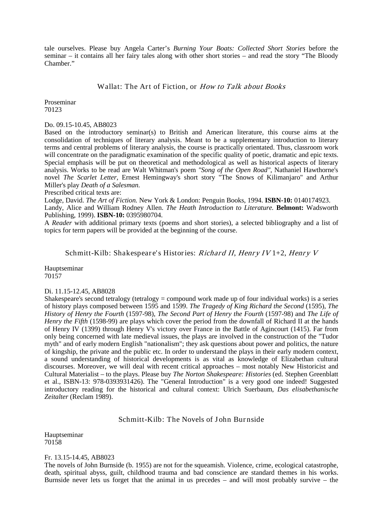tale ourselves. Please buy Angela Carter's *Burning Your Boats: Collected Short Stories* before the seminar – it contains all her fairy tales along with other short stories – and read the story "The Bloody Chamber."

### Wallat: The Art of Fiction, or How to Talk about Books

Proseminar 70123

#### Do. 09.15-10.45, AB8023

Based on the introductory seminar(s) to British and American literature, this course aims at the consolidation of techniques of literary analysis. Meant to be a supplementary introduction to literary terms and central problems of literary analysis, the course is practically orientated. Thus, classroom work will concentrate on the paradigmatic examination of the specific quality of poetic, dramatic and epic texts. Special emphasis will be put on theoretical and methodological as well as historical aspects of literary analysis. Works to be read are Walt Whitman's poem *"Song of the Open Road",* Nathaniel Hawthorne's novel *The Scarlet Letter,* Ernest Hemingway's short story "The Snows of Kilimanjaro" and Arthur Miller's play *Death of a Salesman.*

Prescribed critical texts are:

Lodge, David. *The Art of Fiction.* New York & London: Penguin Books, 1994. **ISBN-10:** 0140174923.

Landy, Alice and William Rodney Allen. *The Heath Introduction to Literature.* **Belmont:** Wadsworth Publishing, 1999). **ISBN-10:** 0395980704.

A *Reader* with additional primary texts (poems and short stories), a selected bibliography and a list of topics for term papers will be provided at the beginning of the course.

Schmitt-Kilb: Shakespeare's Histories: Richard II, Henry IV 1+2, Henry V

Hauptseminar 70157

### Di. 11.15-12.45, AB8028

Shakespeare's second tetralogy (tetralogy = compound work made up of four individual works) is a series of history plays composed between 1595 and 1599. *The Tragedy of King Richard the Second* (1595), *The History of Henry the Fourth* (1597-98), *The Second Part of Henry the Fourth* (1597-98) and *The Life of Henry the Fifth* (1598-99) are plays which cover the period from the downfall of Richard II at the hands of Henry IV (1399) through Henry V's victory over France in the Battle of Agincourt (1415). Far from only being concerned with late medieval issues, the plays are involved in the construction of the "Tudor myth" and of early modern English "nationalism"; they ask questions about power and politics, the nature of kingship, the private and the public etc. In order to understand the plays in their early modern context, a sound understanding of historical developments is as vital as knowledge of Elizabethan cultural discourses. Moreover, we will deal with recent critical approaches – most notably New Historicist and Cultural Materialist – to the plays. Please buy *The Norton Shakespeare: Histories* (ed. Stephen Greenblatt et al., ISBN-13: 978-0393931426). The "General Introduction" is a very good one indeed! Suggested introductory reading for the historical and cultural context: Ulrich Suerbaum, *Das elisabethanische Zeitalter* (Reclam 1989).

Schmitt-Kilb: The Novels of John Burnside

Hauptseminar 70158

# Fr. 13.15-14.45, AB8023

The novels of John Burnside (b. 1955) are not for the squeamish. Violence, crime, ecological catastrophe, death, spiritual abyss, guilt, childhood trauma and bad conscience are standard themes in his works. Burnside never lets us forget that the animal in us precedes – and will most probably survive – the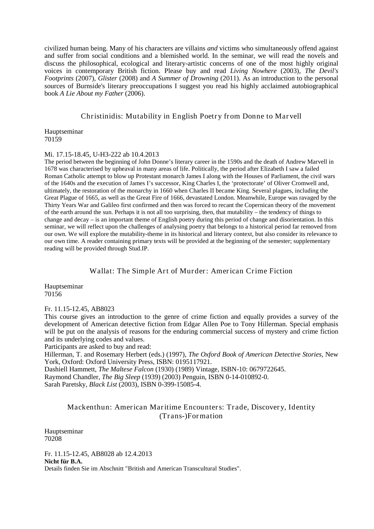civilized human being. Many of his characters are villains *and* victims who simultaneously offend against and suffer from social conditions and a blemished world. In the seminar, we will read the novels and discuss the philosophical, ecological and literary-artistic concerns of one of the most highly original voices in contemporary British fiction. Please buy and read *Living Nowhere* (2003), *The Devil's Footprints* (2007), *Glister* (2008) and *A Summer of Drowning* (2011). As an introduction to the personal sources of Burnside's literary preoccupations I suggest you read his highly acclaimed autobiographical book *A Lie About my Father* (2006).

# Christinidis: Mutability in English Poetry from Donne to Mar vell

Hauptseminar 70159

### Mi. 17.15-18.45, U-H3-222 ab 10.4.2013

The period between the beginning of John Donne's literary career in the 1590s and the death of Andrew Marvell in 1678 was characterised by upheaval in many areas of life. Politically, the period after Elizabeth I saw a failed Roman Catholic attempt to blow up Protestant monarch James I along with the Houses of Parliament, the civil wars of the 1640s and the execution of James I's successor, King Charles I, the 'protectorate' of Oliver Cromwell and, ultimately, the restoration of the monarchy in 1660 when Charles II became King. Several plagues, including the Great Plague of 1665, as well as the Great Fire of 1666, devastated London. Meanwhile, Europe was ravaged by the Thirty Years War and Galileo first confirmed and then was forced to recant the Copernican theory of the movement of the earth around the sun. Perhaps it is not all too surprising, then, that mutability – the tendency of things to change and decay – is an important theme of English poetry during this period of change and disorientation. In this seminar, we will reflect upon the challenges of analysing poetry that belongs to a historical period far removed from our own. We will explore the mutability-theme in its historical and literary context, but also consider its relevance to our own time. A reader containing primary texts will be provided at the beginning of the semester; supplementary reading will be provided through Stud.IP.

# Wallat: The Simple Art of Murder: American Crime Fiction

Hauptseminar 70156

### Fr. 11.15-12.45, AB8023

This course gives an introduction to the genre of crime fiction and equally provides a survey of the development of American detective fiction from Edgar Allen Poe to Tony Hillerman. Special emphasis will be put on the analysis of reasons for the enduring commercial success of mystery and crime fiction and its underlying codes and values.

Participants are asked to buy and read:

Hillerman, T. and Rosemary Herbert (eds.) (1997), *The Oxford Book of American Detective Stories,* New York, Oxford: Oxford University Press, ISBN: 0195117921.

Dashiell Hammett, *The Maltese Falcon* (1930) (1989) Vintage, ISBN-10: 0679722645.

Raymond Chandler, *The Big Sleep* (1939) (2003) Penguin, ISBN 0-14-010892-0.

Sarah Paretsky, *Black List* (2003), ISBN 0-399-15085-4.

# Mackenthun: American Maritime Encounters: Trade, Discovery, Identity (Trans-)Formation

Hauptseminar 70208

Fr. 11.15-12.45, AB8028 ab 12.4.2013 **Nicht für B.A.** Details finden Sie im Abschnitt "British and American Transcultural Studies".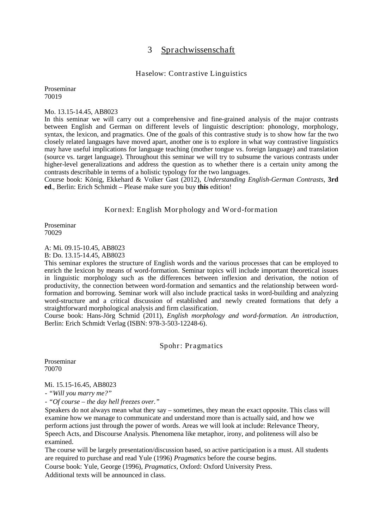# 3 Sprachwissenschaft

# Haselow: Contrastive Linguistics

<span id="page-6-0"></span>Proseminar 70019

### Mo. 13.15-14.45, AB8023

In this seminar we will carry out a comprehensive and fine-grained analysis of the major contrasts between English and German on different levels of linguistic description: phonology, morphology, syntax, the lexicon, and pragmatics. One of the goals of this contrastive study is to show how far the two closely related languages have moved apart, another one is to explore in what way contrastive linguistics may have useful implications for language teaching (mother tongue vs. foreign language) and translation (source vs. target language). Throughout this seminar we will try to subsume the various contrasts under higher-level generalizations and address the question as to whether there is a certain unity among the contrasts describable in terms of a holistic typology for the two languages.

Course book: König, Ekkehard & Volker Gast (2012), *Understanding English-German Contrasts*, **3rd ed**., Berlin: Erich Schmidt – Please make sure you buy **this** edition!

### Kornexl: English Morphology and Word-formation

Proseminar 70029

A: Mi. 09.15-10.45, AB8023

B: Do. 13.15-14.45, AB8023

This seminar explores the structure of English words and the various processes that can be employed to enrich the lexicon by means of word-formation. Seminar topics will include important theoretical issues in linguistic morphology such as the differences between inflexion and derivation, the notion of productivity, the connection between word-formation and semantics and the relationship between wordformation and borrowing. Seminar work will also include practical tasks in word-building and analyzing word-structure and a critical discussion of established and newly created formations that defy a straightforward morphological analysis and firm classification.

Course book: Hans-Jörg Schmid (2011), *English morphology and word-formation. An introduction*, Berlin: Erich Schmidt Verlag (ISBN: 978-3-503-12248-6).

### Spohr: Pragmatics

Proseminar 70070

Mi. 15.15-16.45, AB8023

*- "Will you marry me?"*

*- "Of course – the day hell freezes over."*

Speakers do not always mean what they say – sometimes, they mean the exact opposite. This class will examine how we manage to communicate and understand more than is actually said, and how we perform actions just through the power of words. Areas we will look at include: Relevance Theory, Speech Acts, and Discourse Analysis. Phenomena like metaphor, irony, and politeness will also be examined.

The course will be largely presentation/discussion based, so active participation is a must. All students are required to purchase and read Yule (1996) *Pragmatics* before the course begins.

Course book: Yule, George (1996), *Pragmatics,* Oxford: Oxford University Press.

Additional texts will be announced in class.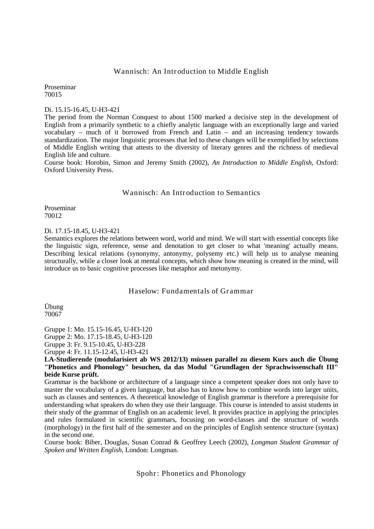# Wannisch: An Introduction to Middle English

Proseminar 70015

### Di. 15.15-16.45, U-H3-421

The period from the Norman Conquest to about 1500 marked a decisive step in the development of English from a primarily synthetic to a chiefly analytic language with an exceptionally large and varied vocabulary – much of it borrowed from French and Latin – and an increasing tendency towards standardization. The major linguistic processes that led to these changes will be exemplified by selections of Middle English writing that attests to the diversity of literary genres and the richness of medieval English life and culture.

Course book: Horobin, Simon and Jeremy Smith (2002), *An Introduction to Middle English*, Oxford: Oxford University Press.

### Wannisch: An Introduction to Semantics

Proseminar 70012

Di. 17.15-18.45, U-H3-421

Semantics explores the relations between word, world and mind. We will start with essential concepts like the linguistic sign, reference, sense and denotation to get closer to what 'meaning' actually means. Describing lexical relations (synonymy, antonymy, polysemy etc.) will help us to analyse meaning structurally, while a closer look at mental concepts, which show how meaning is created in the mind, will introduce us to basic cognitive processes like metaphor and metonymy.

# Haselow: Fundamentals of Grammar

Übung 70067

Gruppe 1: Mo. 15.15-16.45, U-H3-120 Gruppe 2: Mo. 17.15-18.45, U-H3-120 Gruppe 3: Fr. 9.15-10.45, U-H3-228

Gruppe 4: Fr. 11.15-12.45, U-H3-421

**LA-Studierende (modularisiert ab WS 2012/13) müssen parallel zu diesem Kurs auch die Übung "Phonetics and Phonology" besuchen, da das Modul "Grundlagen der Sprachwissenschaft III"** 

**beide Kurse prüft.** Grammar is the backbone or architecture of a language since a competent speaker does not only have to master the vocabulary of a given language, but also has to know how to combine words into larger units, such as clauses and sentences. A theoretical knowledge of English grammar is therefore a prerequisite for understanding what speakers do when they use their language. This course is intended to assist students in their study of the grammar of English on an academic level. It provides practice in applying the principles and rules formulated in scientific grammars, focusing on word-classes and the structure of words (morphology) in the first half of the semester and on the principles of English sentence structure (syntax) in the second one.

Course book: Biber, Douglas, Susan Conrad & Geoffrey Leech (2002), *Longman Student Grammar of Spoken and Written English*, London: Longman.

Spohr: Phonetics and Phonology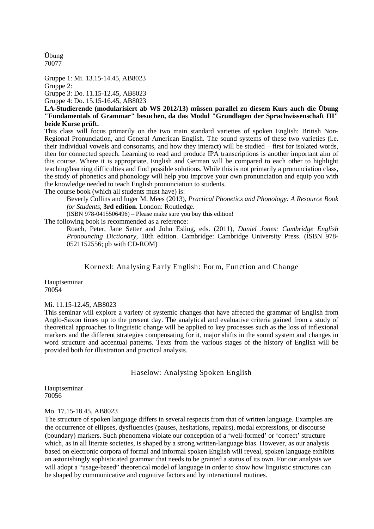Übung 70077

Gruppe 1: Mi. 13.15-14.45, AB8023

Gruppe 2:

Gruppe 3: Do. 11.15-12.45, AB8023 Gruppe 4: Do. 15.15-16.45, AB8023

**LA-Studierende (modularisiert ab WS 2012/13) müssen parallel zu diesem Kurs auch die Übung "Fundamentals of Grammar" besuchen, da das Modul "Grundlagen der Sprachwissenschaft III" beide Kurse prüft.**

This class will focus primarily on the two main standard varieties of spoken English: British Non-Regional Pronunciation, and General American English. The sound systems of these two varieties (i.e. their individual vowels and consonants, and how they interact) will be studied – first for isolated words, then for connected speech. Learning to read and produce IPA transcriptions is another important aim of this course. Where it is appropriate, English and German will be compared to each other to highlight teaching/learning difficulties and find possible solutions. While this is not primarily a pronunciation class, the study of phonetics and phonology will help you improve your own pronunciation and equip you with the knowledge needed to teach English pronunciation to students.

The course book (which all students must have) is:

Beverly Collins and Inger M. Mees (2013), *Practical Phonetics and Phonology: A Resource Book for Students*, **3rd edition**. London: Routledge.

(ISBN 978-0415506496) – Please make sure you buy **this** edition!

The following book is recommended as a reference:

Roach, Peter, Jane Setter and John Esling, eds. (2011), *Daniel Jones: Cambridge English Pronouncing Dictionary*, 18th edition. Cambridge: Cambridge University Press. (ISBN 978- 0521152556; pb with CD-ROM)

Kornexl: Analysing Early English: Form, Function and Change

Hauptseminar 70054

Mi. 11.15-12.45, AB8023

This seminar will explore a variety of systemic changes that have affected the grammar of English from Anglo-Saxon times up to the present day. The analytical and evaluative criteria gained from a study of theoretical approaches to linguistic change will be applied to key processes such as the loss of inflexional markers and the different strategies compensating for it, major shifts in the sound system and changes in word structure and accentual patterns. Texts from the various stages of the history of English will be provided both for illustration and practical analysis.

Haselow: Analysing Spoken English

Hauptseminar 70056

### Mo. 17.15-18.45, AB8023

The structure of spoken language differs in several respects from that of written language. Examples are the occurrence of ellipses, dysfluencies (pauses, hesitations, repairs), modal expressions, or discourse (boundary) markers. Such phenomena violate our conception of a 'well-formed' or 'correct' structure which, as in all literate societies, is shaped by a strong written-language bias. However, as our analysis based on electronic corpora of formal and informal spoken English will reveal, spoken language exhibits an astonishingly sophisticated grammar that needs to be granted a status of its own. For our analysis we will adopt a "usage-based" theoretical model of language in order to show how linguistic structures can be shaped by communicative and cognitive factors and by interactional routines.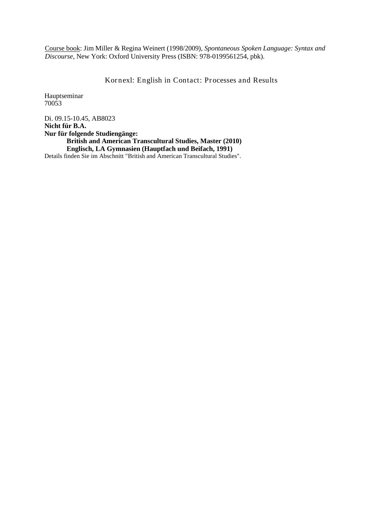Course book: Jim Miller & Regina Weinert (1998/2009), *Spontaneous Spoken Language: Syntax and Discourse*, New York: Oxford University Press (ISBN: 978-0199561254, pbk).

Kornexl: English in Contact: Processes and Results

Hauptseminar 70053

Di. 09.15-10.45, AB8023 **Nicht für B.A. Nur für folgende Studiengänge: British and American Transcultural Studies, Master (2010) Englisch, LA Gymnasien (Hauptfach und Beifach, 1991)** Details finden Sie im Abschnitt "British and American Transcultural Studies".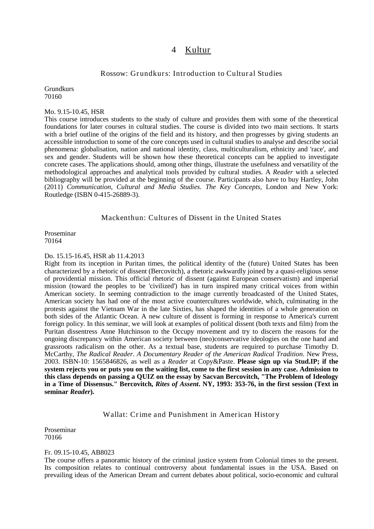# 4 Kultur

### Rossow: Grundkurs: Introduction to Cultural Studies

<span id="page-10-0"></span>Grundkurs 70160

### Mo. 9.15-10.45, HSR

This course introduces students to the study of culture and provides them with some of the theoretical foundations for later courses in cultural studies. The course is divided into two main sections. It starts with a brief outline of the origins of the field and its history, and then progresses by giving students an accessible introduction to some of the core concepts used in cultural studies to analyse and describe social phenomena: globalisation, nation and national identity, class, multiculturalism, ethnicity and 'race', and sex and gender. Students will be shown how these theoretical concepts can be applied to investigate concrete cases. The applications should, among other things, illustrate the usefulness and versatility of the methodological approaches and analytical tools provided by cultural studies. A *Reader* with a selected bibliography will be provided at the beginning of the course. Participants also have to buy Hartley, John (2011) *Communication, Cultural and Media Studies. The Key Concepts*, London and New York: Routledge (ISBN 0-415-26889-3).

Mackenthun: Cultures of Dissent in the United States

Proseminar 70164

#### Do. 15.15-16.45, HSR ab 11.4.2013

Right from its inception in Puritan times, the political identity of the (future) United States has been characterized by a rhetoric of dissent (Bercovitch), a rhetoric awkwardly joined by a quasi-religious sense of providential mission. This official rhetoric of dissent (against European conservatism) and imperial mission (toward the peoples to be 'civilized') has in turn inspired many critical voices from within American society. In seeming contradiction to the image currently broadcasted of the United States, American society has had one of the most active countercultures worldwide, which, culminating in the protests against the Vietnam War in the late Sixties, has shaped the identities of a whole generation on both sides of the Atlantic Ocean. A new culture of dissent is forming in response to America's current foreign policy. In this seminar, we will look at examples of political dissent (both texts and film) from the Puritan dissentress Anne Hutchinson to the Occupy movement and try to discern the reasons for the ongoing discrepancy within American society between (neo)conservative ideologies on the one hand and grassroots radicalism on the other. As a textual base, students are required to purchase Timothy D. McCarthy, *The Radical Reader*. *A Documentary Reader of the American Radical Tradition*. New Press, 2003. ISBN-10: 1565846826, as well as a *Reader* at Copy&Paste. **Please sign up via Stud.IP; if the system rejects you or puts you on the waiting list, come to the first session in any case. Admission to this class depends on passing a QUIZ on the essay by Sacvan Bercovitch, "The Problem of Ideology in a Time of Dissensus." Bercovitch,** *Rites of Assent***. NY, 1993: 353-76, in the first session (Text in seminar** *Reader***).**

### Wallat: Crime and Punishment in American History

Proseminar 70166

#### Fr. 09.15-10.45, AB8023

The course offers a panoramic history of the criminal justice system from Colonial times to the present. Its composition relates to continual controversy about fundamental issues in the USA. Based on prevailing ideas of the American Dream and current debates about political, socio-economic and cultural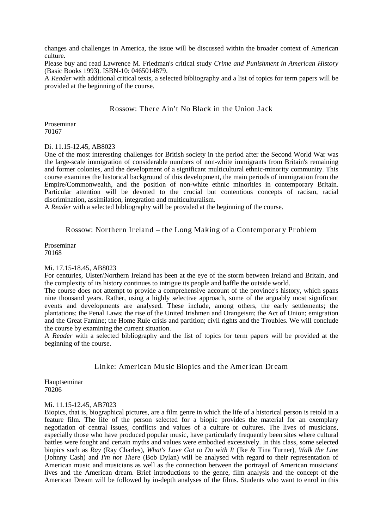changes and challenges in America, the issue will be discussed within the broader context of American culture.

Please buy and read Lawrence M. Friedman's critical study *Crime and Punishment in American History*  (Basic Books 1993)*.* ISBN-10: 0465014879.

A *Reader* with additional critical texts, a selected bibliography and a list of topics for term papers will be provided at the beginning of the course.

Rossow: There Ain't No Black in the Union Jack

Proseminar 70167

Di. 11.15-12.45, AB8023

One of the most interesting challenges for British society in the period after the Second World War was the large-scale immigration of considerable numbers of non-white immigrants from Britain's remaining and former colonies, and the development of a significant multicultural ethnic-minority community. This course examines the historical background of this development, the main periods of immigration from the Empire/Commonwealth, and the position of non-white ethnic minorities in contemporary Britain. Particular attention will be devoted to the crucial but contentious concepts of racism, racial discrimination, assimilation, integration and multiculturalism.

A *Reader* with a selected bibliography will be provided at the beginning of the course.

Rossow: Northern Ireland – the Long Making of a Contemporary Problem

Proseminar 70168

### Mi. 17.15-18.45, AB8023

For centuries, Ulster/Northern Ireland has been at the eye of the storm between Ireland and Britain, and the complexity of its history continues to intrigue its people and baffle the outside world.

The course does not attempt to provide a comprehensive account of the province's history, which spans nine thousand years. Rather, using a highly selective approach, some of the arguably most significant events and developments are analysed. These include, among others, the early settlements; the plantations; the Penal Laws; the rise of the United Irishmen and Orangeism; the Act of Union; emigration and the Great Famine; the Home Rule crisis and partition; civil rights and the Troubles. We will conclude the course by examining the current situation.

A *Reader* with a selected bibliography and the list of topics for term papers will be provided at the beginning of the course.

### Linke: American Music Biopics and the American Dream

Hauptseminar 70206

### Mi. 11.15-12.45, AB7023

Biopics, that is, biographical pictures, are a film genre in which the life of a historical person is retold in a feature film. The life of the person selected for a biopic provides the material for an exemplary negotiation of central issues, conflicts and values of a culture or cultures. The lives of musicians, especially those who have produced popular music, have particularly frequently been sites where cultural battles were fought and certain myths and values were embodied excessively. In this class, some selected biopics such as *Ray* (Ray Charles), *What's Love Got to Do with It* (Ike & Tina Turner), *Walk the Line* (Johnny Cash) and *I'm not There* (Bob Dylan) will be analysed with regard to their representation of American music and musicians as well as the connection between the portrayal of American musicians' lives and the American dream. Brief introductions to the genre, film analysis and the concept of the American Dream will be followed by in-depth analyses of the films. Students who want to enrol in this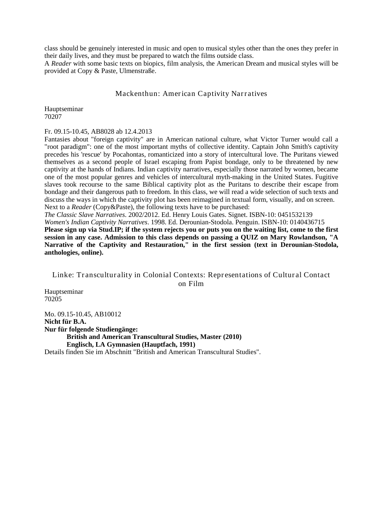class should be genuinely interested in music and open to musical styles other than the ones they prefer in their daily lives, and they must be prepared to watch the films outside class.

A *Reader* with some basic texts on biopics, film analysis, the American Dream and musical styles will be provided at Copy & Paste, Ulmenstraße.

# Mackenthun: American Captivity Narratives

Hauptseminar 70207

#### Fr. 09.15-10.45, AB8028 ab 12.4.2013

Fantasies about "foreign captivity" are in American national culture, what Victor Turner would call a "root paradigm": one of the most important myths of collective identity. Captain John Smith's captivity precedes his 'rescue' by Pocahontas, romanticized into a story of intercultural love. The Puritans viewed themselves as a second people of Israel escaping from Papist bondage, only to be threatened by new captivity at the hands of Indians. Indian captivity narratives, especially those narrated by women, became one of the most popular genres and vehicles of intercultural myth-making in the United States. Fugitive slaves took recourse to the same Biblical captivity plot as the Puritans to describe their escape from bondage and their dangerous path to freedom. In this class, we will read a wide selection of such texts and discuss the ways in which the captivity plot has been reimagined in textual form, visually, and on screen. Next to a *Reader* (Copy&Paste), the following texts have to be purchased:

*The Classic Slave Narratives*. 2002/2012. Ed. Henry Louis Gates. Signet. ISBN-10: 0451532139

*Women's Indian Captivity Narratives*. 1998. Ed. Derounian-Stodola. Penguin. ISBN-10: 0140436715

**Please sign up via Stud.IP; if the system rejects you or puts you on the waiting list, come to the first session in any case. Admission to this class depends on passing a QUIZ on Mary Rowlandson, "A Narrative of the Captivity and Restauration," in the first session (text in Derounian-Stodola, anthologies, online).**

# Linke: Transcultur ality in Colonial Contexts: Representations of Cultural Contact on Film

Hauptseminar 70205

Mo. 09.15-10.45, AB10012 **Nicht für B.A. Nur für folgende Studiengänge: British and American Transcultural Studies, Master (2010) Englisch, LA Gymnasien (Hauptfach, 1991)** Details finden Sie im Abschnitt "British and American Transcultural Studies".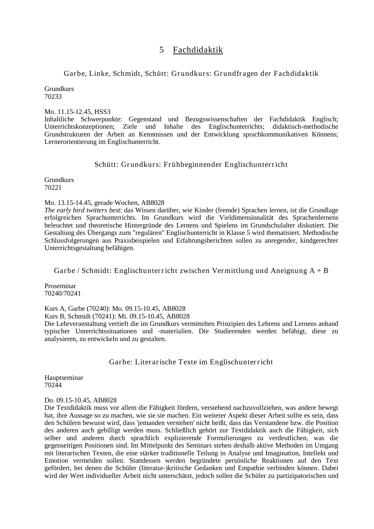# 5 Fachdidaktik

# <span id="page-13-0"></span>Garbe, Linke, Schmidt, Schütt: Grundkurs: Grundfragen der Fachdidaktik

Grundkurs 70233

Mo. 11.15-12.45, HSS3

Inhaltliche Schwerpunkte: Gegenstand und Bezugswissenschaften der Fachdidaktik Englisch; Unterrichtskonzeptionen; Ziele und Inhalte des Englischunterrichts; didaktisch-methodische Grundstrukturen der Arbeit an Kenntnissen und der Entwicklung sprachkommunikativen Könnens; Lernerorientierung im Englischunterricht.

# Schütt: Grundkurs: Frühbeginnender Englischunterricht

**Grundkurs** 70221

### Mo. 13.15-14.45, gerade Wochen, AB8028

*The early bird twitters best*: das Wissen darüber, wie Kinder (fremde) Sprachen lernen, ist die Grundlage erfolgreichen Sprachunterrichts. Im Grundkurs wird die Vieldimensionalität des Sprachenlernens beleuchtet und theoretische Hintergründe des Lernens und Spielens im Grundschulalter diskutiert. Die Gestaltung des Übergangs zum "regulären" Englischunterricht in Klasse 5 wird thematisiert. Methodische Schlussfolgerungen aus Praxisbeispielen und Erfahrungsberichten sollen zu anregender, kindgerechter Unterrichtsgestaltung befähigen.

# Garbe / Schmidt: Englischunterricht zwischen Vermittlung und Aneignung A + B

Proseminar 70240/70241

Kurs A, Garbe (70240): Mo. 09.15-10.45, AB8028

Kurs B, Schmidt (70241): Mi. 09.15-10.45, AB8028

Die Lehrveranstaltung vertieft die im Grundkurs vermittelten Prinzipien des Lehrens und Lernens anhand typischer Unterrichtssituationen und -materialien. Die Studierenden werden befähigt, diese zu analysieren, zu entwickeln und zu gestalten.

# Garbe: Literarische Texte im Englischunterricht

Hauptseminar 70244

### Do. 09.15-10.45, AB8028

Die Textdidaktik muss vor allem die Fähigkeit fördern, verstehend nachzuvollziehen, was andere bewegt hat, ihre Aussage so zu machen, wie sie sie machen. Ein weiterer Aspekt dieser Arbeit sollte es sein, dass den Schülern bewusst wird, dass 'jemanden verstehen' nicht heißt, dass das Verstandene bzw. die Position des anderen auch gebilligt werden muss. Schließlich gehört zur Textdidaktik auch die Fähigkeit, sich selber und anderen durch sprachlich explizierende Formulierungen zu verdeutlichen, was die gegenseitigen Positionen sind. Im Mittelpunkt des Seminars stehen deshalb aktive Methoden im Umgang mit literarischen Texten, die eine stärker traditionelle Teilung in Analyse und Imagination, Intellekt und Emotion vermeiden sollen. Stattdessen werden begründete persönliche Reaktionen auf den Text gefördert, bei denen die Schüler (literatur-)kritische Gedanken und Empathie verbinden können. Dabei wird der Wert individueller Arbeit nicht unterschätzt, jedoch sollen die Schüler zu partizipatorischen und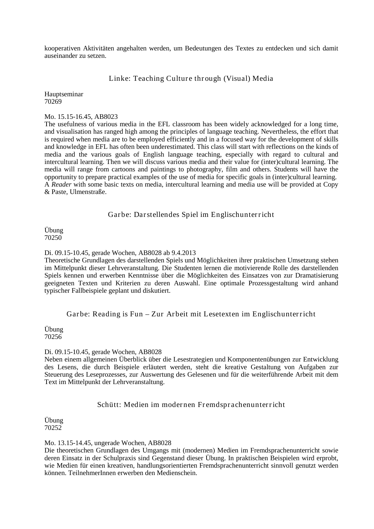kooperativen Aktivitäten angehalten werden, um Bedeutungen des Textes zu entdecken und sich damit auseinander zu setzen.

Linke: Teaching Culture through (Visual) Media

Hauptseminar 70269

### Mo. 15.15-16.45, AB8023

The usefulness of various media in the EFL classroom has been widely acknowledged for a long time, and visualisation has ranged high among the principles of language teaching. Nevertheless, the effort that is required when media are to be employed efficiently and in a focused way for the development of skills and knowledge in EFL has often been underestimated. This class will start with reflections on the kinds of media and the various goals of English language teaching, especially with regard to cultural and intercultural learning. Then we will discuss various media and their value for (inter)cultural learning. The media will range from cartoons and paintings to photography, film and others. Students will have the opportunity to prepare practical examples of the use of media for specific goals in (inter)cultural learning. A *Reader* with some basic texts on media, intercultural learning and media use will be provided at Copy & Paste, Ulmenstraße.

Garbe: Darstellendes Spiel im Englischunterricht

Übung 70250

Di. 09.15-10.45, gerade Wochen, AB8028 ab 9.4.2013

Theoretische Grundlagen des darstellenden Spiels und Möglichkeiten ihrer praktischen Umsetzung stehen im Mittelpunkt dieser Lehrveranstaltung. Die Studenten lernen die motivierende Rolle des darstellenden Spiels kennen und erwerben Kenntnisse über die Möglichkeiten des Einsatzes von zur Dramatisierung geeigneten Texten und Kriterien zu deren Auswahl. Eine optimale Prozessgestaltung wird anhand typischer Fallbeispiele geplant und diskutiert.

Garbe: Reading is Fun – Zur Arbeit mit Lesetexten im Englischunterricht

Übung 70256

### Di. 09.15-10.45, gerade Wochen, AB8028

Neben einem allgemeinen Überblick über die Lesestrategien und Komponentenübungen zur Entwicklung des Lesens, die durch Beispiele erläutert werden, steht die kreative Gestaltung von Aufgaben zur Steuerung des Leseprozesses, zur Auswertung des Gelesenen und für die weiterführende Arbeit mit dem Text im Mittelpunkt der Lehrveranstaltung.

# Schütt: Medien im modernen Fremdsprachenunterricht

Übung 70252

### Mo. 13.15-14.45, ungerade Wochen, AB8028

Die theoretischen Grundlagen des Umgangs mit (modernen) Medien im Fremdsprachenunterricht sowie deren Einsatz in der Schulpraxis sind Gegenstand dieser Übung. In praktischen Beispielen wird erprobt, wie Medien für einen kreativen, handlungsorientierten Fremdsprachenunterricht sinnvoll genutzt werden können. TeilnehmerInnen erwerben den Medienschein.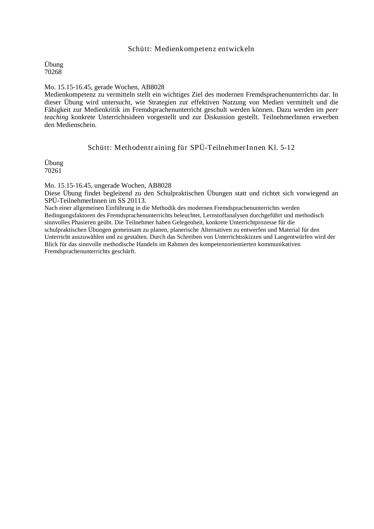# Schütt: Medienkompetenz entwickeln

Übung 70268

### Mo. 15.15-16.45, gerade Wochen, AB8028

Medienkompetenz zu vermitteln stellt ein wichtiges Ziel des modernen Fremdsprachenunterrichts dar. In dieser Übung wird untersucht, wie Strategien zur effektiven Nutzung von Medien vermittelt und die Fähigkeit zur Medienkritik im Fremdsprachenunterricht geschult werden können. Dazu werden im *peer teaching* konkrete Unterrichtsideen vorgestellt und zur Diskussion gestellt. TeilnehmerInnen erwerben den Medienschein.

# Schütt: Methodentraining für SPÜ-TeilnehmerInnen Kl. 5-12

Übung 70261

Mo. 15.15-16.45, ungerade Wochen, AB8028

Diese Übung findet begleitend zu den Schulpraktischen Übungen statt und richtet sich vorwiegend an SPÜ-TeilnehmerInnen im SS 20113.

Nach einer allgemeinen Einführung in die Methodik des modernen Fremdsprachenunterrichts werden Bedingungsfaktoren des Fremdsprachenunterrichts beleuchtet, Lernstoffanalysen durchgeführt und methodisch sinnvolles Phasieren geübt. Die Teilnehmer haben Gelegenheit, konkrete Unterrichtprozesse für die schulpraktischen Übungen gemeinsam zu planen, planerische Alternativen zu entwerfen und Material für den Unterricht auszuwählen und zu gestalten. Durch das Schreiben von Unterrichtsskizzen und Langentwürfen wird der Blick für das sinnvolle methodische Handeln im Rahmen des kompetenzorientierten kommunikativen Fremdsprachenunterrichts geschärft.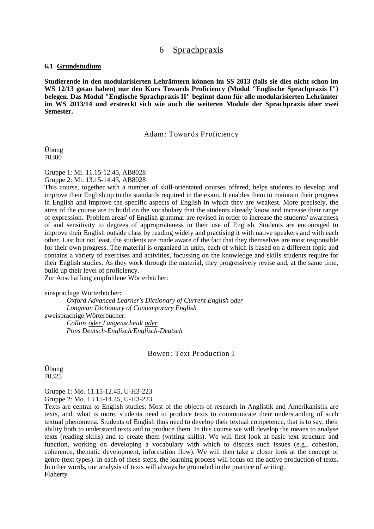# 6 Sprachpraxis

#### <span id="page-16-1"></span><span id="page-16-0"></span>**6.1 Grundstudium**

**Studierende in den modularisierten Lehrämtern können im SS 2013 (falls sie dies nicht schon im WS 12/13 getan haben) nur den Kurs Towards Proficiency (Modul "Englische Sprachpraxis I") belegen. Das Modul "Englische Sprachpraxis II" beginnt dann für alle modularisierten Lehrämter im WS 2013/14 und erstreckt sich wie auch die weiteren Module der Sprachpraxis über zwei Semester.**

Adam: Towards Proficiency

Übung 70300

Gruppe 1: Mi. 11.15-12.45, AB8028 Gruppe 2: Mi. 13.15-14.45, AB8028

This course, together with a number of skill-orientated courses offered, helps students to develop and improve their English up to the standards required in the exam. It enables them to maintain their progress in English and improve the specific aspects of English in which they are weakest. More precisely, the aims of the course are to build on the vocabulary that the students already know and increase their range of expression. 'Problem areas' of English grammar are revised in order to increase the students' awareness of and sensitivity to degrees of appropriateness in their use of English. Students are encouraged to improve their English outside class by reading widely and practising it with native speakers and with each other. Last but not least, the students are made aware of the fact that they themselves are most responsible for their own progress. The material is organized in units, each of which is based on a different topic and contains a variety of exercises and activities, focussing on the knowledge and skills students require for their English studies. As they work through the material, they progressively revise and, at the same time, build up their level of proficiency.

Zur Anschaffung empfohlene Wörterbücher:

einsprachige Wörterbücher:

*Oxford Advanced Learner's Dictionary of Current English oder Longman Dictionary of Contemporary English* zweisprachige Wörterbücher: *Collins oder Langenscheidt oder Pons Deutsch-Englisch/Englisch-Deutsch*

Bowen: Text Production I

Übung 70325

Gruppe 1: Mo. 11.15-12.45, U-H3-223 Gruppe 2: Mo. 13.15-14.45, U-H3-223

Texts are central to English studies: Most of the objects of research in Anglistik and Amerikanistik are texts, and, what is more, students need to produce texts to communicate their understanding of such textual phenomena. Students of English thus need to develop their textual competence, that is to say, their ability both to understand texts and to produce them. In this course we will develop the means to analyse texts (reading skills) and to create them (writing skills). We will first look at basic text structure and function, working on developing a vocabulary with which to discuss such issues (e.g., cohesion, coherence, thematic development, information flow). We will then take a closer look at the concept of genre (text types). In each of these steps, the learning process will focus on the active production of texts. In other words, our analysis of texts will always be grounded in the practice of writing. Flaherty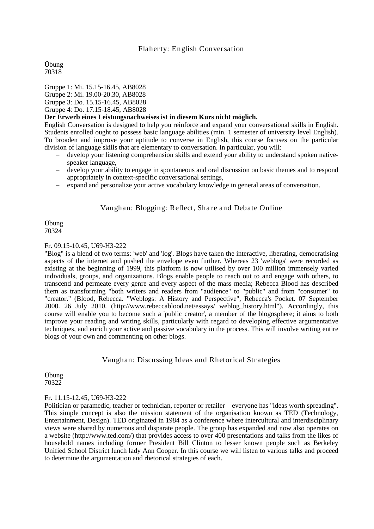# Flaherty: English Conversation

Übung 70318

Gruppe 1: Mi. 15.15-16.45, AB8028 Gruppe 2: Mi. 19.00-20.30, AB8028 Gruppe 3: Do. 15.15-16.45, AB8028

### Gruppe 4: Do. 17.15-18.45, AB8028

### **Der Erwerb eines Leistungsnachweises ist in diesem Kurs nicht möglich.**

English Conversation is designed to help you reinforce and expand your conversational skills in English. Students enrolled ought to possess basic language abilities (min. 1 semester of university level English). To broaden and improve your aptitude to converse in English, this course focuses on the particular division of language skills that are elementary to conversation. In particular, you will:

- − develop your listening comprehension skills and extend your ability to understand spoken nativespeaker language,
- − develop your ability to engage in spontaneous and oral discussion on basic themes and to respond appropriately in context-specific conversational settings,
- − expand and personalize your active vocabulary knowledge in general areas of conversation.

# Vaughan: Blogging: Reflect, Share and Debate Online

Übung 70324

### Fr. 09.15-10.45, U69-H3-222

"Blog" is a blend of two terms: 'web' and 'log'. Blogs have taken the interactive, liberating, democratising aspects of the internet and pushed the envelope even further. Whereas 23 'weblogs' were recorded as existing at the beginning of 1999, this platform is now utilised by over 100 million immensely varied individuals, groups, and organizations. Blogs enable people to reach out to and engage with others, to transcend and permeate every genre and every aspect of the mass media; Rebecca Blood has described them as transforming "both writers and readers from "audience" to "public" and from "consumer" to "creator." (Blood, Rebecca. "Weblogs: A History and Perspective", Rebecca's Pocket. 07 September 2000. 26 July 2010. (http://www.rebeccablood.net/essays/ weblog\_history.html"). Accordingly, this course will enable you to become such a 'public creator', a member of the blogosphere; it aims to both improve your reading and writing skills, particularly with regard to developing effective argumentative techniques, and enrich your active and passive vocabulary in the process. This will involve writing entire blogs of your own and commenting on other blogs.

# Vaughan: Discussing Ideas and Rhetorical Strategies

Übung 70322

### Fr. 11.15-12.45, U69-H3-222

Politician or paramedic, teacher or technician, reporter or retailer – everyone has "ideas worth spreading". This simple concept is also the mission statement of the organisation known as TED (Technology, Entertainment, Design). TED originated in 1984 as a conference where intercultural and interdisciplinary views were shared by numerous and disparate people. The group has expanded and now also operates on a website (http://www.ted.com/) that provides access to over 400 presentations and talks from the likes of household names including former President Bill Clinton to lesser known people such as Berkeley Unified School District lunch lady Ann Cooper. In this course we will listen to various talks and proceed to determine the argumentation and rhetorical strategies of each.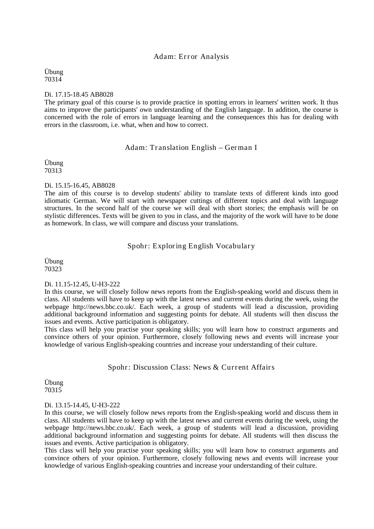# Adam: Error Analysis

Übung 70314

### Di. 17.15-18.45 AB8028

The primary goal of this course is to provide practice in spotting errors in learners' written work. It thus aims to improve the participants' own understanding of the English language. In addition, the course is concerned with the role of errors in language learning and the consequences this has for dealing with errors in the classroom, i.e. what, when and how to correct.

# Adam: Translation English – German I

Übung 70313

Di. 15.15-16.45, AB8028

The aim of this course is to develop students' ability to translate texts of different kinds into good idiomatic German. We will start with newspaper cuttings of different topics and deal with language structures. In the second half of the course we will deal with short stories; the emphasis will be on stylistic differences. Texts will be given to you in class, and the majority of the work will have to be done as homework. In class, we will compare and discuss your translations.

# Spohr: Exploring English Vocabulary

Übung 70323

#### Di. 11.15-12.45, U-H3-222

In this course, we will closely follow news reports from the English-speaking world and discuss them in class. All students will have to keep up with the latest news and current events during the week, using the webpage http://news.bbc.co.uk/. Each week, a group of students will lead a discussion, providing additional background information and suggesting points for debate. All students will then discuss the issues and events. Active participation is obligatory.

This class will help you practise your speaking skills; you will learn how to construct arguments and convince others of your opinion. Furthermore, closely following news and events will increase your knowledge of various English-speaking countries and increase your understanding of their culture.

### Spohr: Discussion Class: News & Current Affairs

Übung 70315

### Di. 13.15-14.45, U-H3-222

In this course, we will closely follow news reports from the English-speaking world and discuss them in class. All students will have to keep up with the latest news and current events during the week, using the webpage http://news.bbc.co.uk/. Each week, a group of students will lead a discussion, providing additional background information and suggesting points for debate. All students will then discuss the issues and events. Active participation is obligatory.

This class will help you practise your speaking skills; you will learn how to construct arguments and convince others of your opinion. Furthermore, closely following news and events will increase your knowledge of various English-speaking countries and increase your understanding of their culture.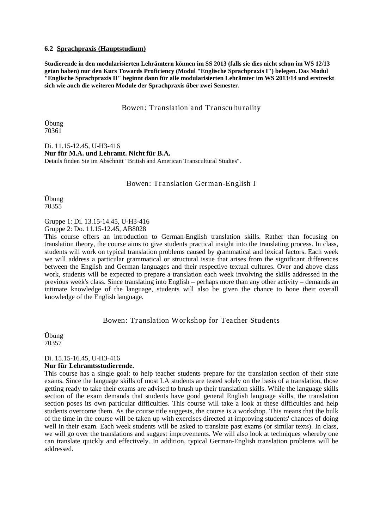### <span id="page-19-0"></span>**6.2 Sprachpraxis (Hauptstudium)**

**Studierende in den modularisierten Lehrämtern können im SS 2013 (falls sie dies nicht schon im WS 12/13 getan haben) nur den Kurs Towards Proficiency (Modul "Englische Sprachpraxis I") belegen. Das Modul "Englische Sprachpraxis II" beginnt dann für alle modularisierten Lehrämter im WS 2013/14 und erstreckt sich wie auch die weiteren Module der Sprachpraxis über zwei Semester.**

Bowen: Translation and Transculturality

Übung 70361

Di. 11.15-12.45, U-H3-416 **Nur für M.A. und Lehramt. Nicht für B.A.** Details finden Sie im Abschnitt "British and American Transcultural Studies".

# Bowen: Translation German-English I

Übung 70355

Gruppe 1: Di. 13.15-14.45, U-H3-416 Gruppe 2: Do. 11.15-12.45, AB8028

This course offers an introduction to German-English translation skills. Rather than focusing on translation theory, the course aims to give students practical insight into the translating process. In class, students will work on typical translation problems caused by grammatical and lexical factors. Each week we will address a particular grammatical or structural issue that arises from the significant differences between the English and German languages and their respective textual cultures. Over and above class work, students will be expected to prepare a translation each week involving the skills addressed in the previous week's class. Since translating into English – perhaps more than any other activity – demands an intimate knowledge of the language, students will also be given the chance to hone their overall knowledge of the English language.

# Bowen: Translation Workshop for Teacher Students

Übung 70357

### Di. 15.15-16.45, U-H3-416 **Nur für Lehramtsstudierende.**

This course has a single goal: to help teacher students prepare for the translation section of their state exams. Since the language skills of most LA students are tested solely on the basis of a translation, those getting ready to take their exams are advised to brush up their translation skills. While the language skills section of the exam demands that students have good general English language skills, the translation section poses its own particular difficulties. This course will take a look at these difficulties and help students overcome them. As the course title suggests, the course is a workshop. This means that the bulk of the time in the course will be taken up with exercises directed at improving students' chances of doing well in their exam. Each week students will be asked to translate past exams (or similar texts). In class, we will go over the translations and suggest improvements. We will also look at techniques whereby one can translate quickly and effectively. In addition, typical German-English translation problems will be addressed.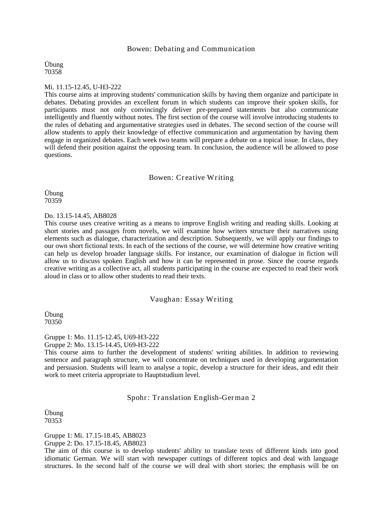### Bowen: Debating and Communication

Übung 70358

#### Mi. 11.15-12.45, U-H3-222

This course aims at improving students' communication skills by having them organize and participate in debates. Debating provides an excellent forum in which students can improve their spoken skills, for participants must not only convincingly deliver pre-prepared statements but also communicate intelligently and fluently without notes. The first section of the course will involve introducing students to the rules of debating and argumentative strategies used in debates. The second section of the course will allow students to apply their knowledge of effective communication and argumentation by having them engage in organized debates. Each week two teams will prepare a debate on a topical issue. In class, they will defend their position against the opposing team. In conclusion, the audience will be allowed to pose questions.

### Bowen: Creative Writing

Übung 70359

#### Do. 13.15-14.45, AB8028

This course uses creative writing as a means to improve English writing and reading skills. Looking at short stories and passages from novels, we will examine how writers structure their narratives using elements such as dialogue, characterization and description. Subsequently, we will apply our findings to our own short fictional texts. In each of the sections of the course, we will determine how creative writing can help us develop broader language skills. For instance, our examination of dialogue in fiction will allow us to discuss spoken English and how it can be represented in prose. Since the course regards creative writing as a collective act, all students participating in the course are expected to read their work aloud in class or to allow other students to read their texts.

### Vaughan: Essay Writing

Übung 70350

Gruppe 1: Mo. 11.15-12.45, U69-H3-222 Gruppe 2: Mo. 13.15-14.45, U69-H3-222

This course aims to further the development of students' writing abilities. In addition to reviewing sentence and paragraph structure, we will concentrate on techniques used in developing argumentation and persuasion. Students will learn to analyse a topic, develop a structure for their ideas, and edit their work to meet criteria appropriate to Hauptstudium level.

### Spohr: Translation English-German 2

Übung 70353

Gruppe 1: Mi. 17.15-18.45, AB8023

Gruppe 2: Do. 17.15-18.45, AB8023

The aim of this course is to develop students' ability to translate texts of different kinds into good idiomatic German. We will start with newspaper cuttings of different topics and deal with language structures. In the second half of the course we will deal with short stories; the emphasis will be on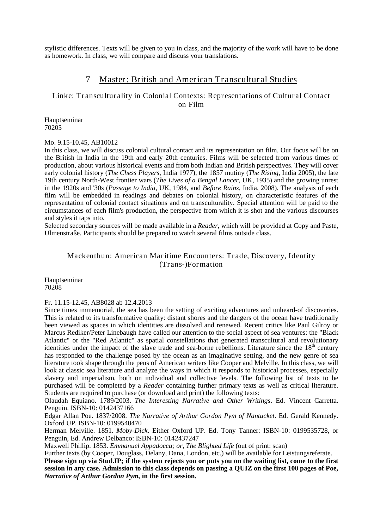stylistic differences. Texts will be given to you in class, and the majority of the work will have to be done as homework. In class, we will compare and discuss your translations.

# 7 Master: British and American Transcultural Studies

# <span id="page-21-0"></span>Linke: Transculturality in Colonial Contexts: Representations of Cultural Contact on Film

Hauptseminar 70205

### Mo. 9.15-10.45, AB10012

In this class, we will discuss colonial cultural contact and its representation on film. Our focus will be on the British in India in the 19th and early 20th centuries. Films will be selected from various times of production, about various historical events and from both Indian and British perspectives. They will cover early colonial history (*The Chess Players*, India 1977), the 1857 mutiny (*The Rising*, India 2005), the late 19th century North-West frontier wars (*The Lives of a Bengal Lancer*, UK, 1935) and the growing unrest in the 1920s and '30s (*Passage to India*, UK, 1984, and *Before Rains*, India, 2008). The analysis of each film will be embedded in readings and debates on colonial history, on characteristic features of the representation of colonial contact situations and on transculturality. Special attention will be paid to the circumstances of each film's production, the perspective from which it is shot and the various discourses and styles it taps into.

Selected secondary sources will be made available in a *Reader*, which will be provided at Copy and Paste, Ulmenstraße. Participants should be prepared to watch several films outside class.

# Mackenthun: American Maritime Encounters: Trade, Discovery, Identity (Trans-)Formation

Hauptseminar 70208

### Fr. 11.15-12.45, AB8028 ab 12.4.2013

Since times immemorial, the sea has been the setting of exciting adventures and unheard-of discoveries. This is related to its transformative quality: distant shores and the dangers of the ocean have traditionally been viewed as spaces in which identities are dissolved and renewed. Recent critics like Paul Gilroy or Marcus Rediker/Peter Linebaugh have called our attention to the social aspect of sea ventures: the "Black Atlantic" or the "Red Atlantic" as spatial constellations that generated transcultural and revolutionary identities under the impact of the slave trade and sea-borne rebellions. Literature since the  $18<sup>th</sup>$  century has responded to the challenge posed by the ocean as an imaginative setting, and the new genre of sea literature took shape through the pens of American writers like Cooper and Melville. In this class, we will look at classic sea literature and analyze the ways in which it responds to historical processes, especially slavery and imperialism, both on individual and collective levels. The following list of texts to be purchased will be completed by a *Reader* containing further primary texts as well as critical literature. Students are required to purchase (or download and print) the following texts:

Olaudah Equiano. 1789/2003. *The Interesting Narrative and Other Writings*. Ed. Vincent Carretta. Penguin. ISBN-10: 0142437166

Edgar Allan Poe. 1837/2008. *The Narrative of Arthur Gordon Pym of Nantucket*. Ed. Gerald Kennedy. Oxford UP. ISBN-10: 0199540470

Herman Melville. 1851. *Moby-Dick*. Either Oxford UP. Ed. Tony Tanner: ISBN-10: 0199535728, or Penguin, Ed. Andrew Delbanco: ISBN-10: 0142437247

Maxwell Phillip. 1853. *Emmanuel Appadocca; or, The Blighted Life* (out of print: scan)

Further texts (by Cooper, Douglass, Delany, Dana, London, etc.) will be available for Leistungsreferate.

**Please sign up via Stud.IP; if the system rejects you or puts you on the waiting list, come to the first session in any case. Admission to this class depends on passing a QUIZ on the first 100 pages of Poe,**  *Narrative of Arthur Gordon Pym,* **in the first session***.*